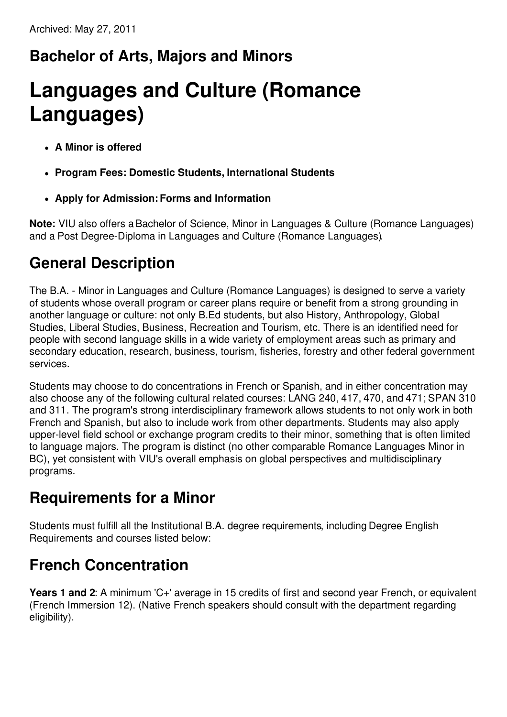## **Bachelor of Arts, Majors and Minors**

# **Languages and Culture (Romance Languages)**

- **A Minor is offered**
- **Program Fees: Domestic Students, International Students**
- **Apply for Admission:Forms and Information**

**Note:** VIU also offers a Bachelor of Science, Minor in Languages & Culture (Romance Languages) and a Post Degree-Diploma in Languages and Culture (Romance Languages).

## **General Description**

The B.A. - Minor in Languages and Culture (Romance Languages) is designed to serve a variety of students whose overall program or career plans require or benefit from a strong grounding in another language or culture: not only B.Ed students, but also History, Anthropology, Global Studies, Liberal Studies, Business, Recreation and Tourism, etc. There is an identified need for people with second language skills in a wide variety of employment areas such as primary and secondary education, research, business, tourism, fisheries, forestry and other federal government services.

Students may choose to do concentrations in French or Spanish, and in either concentration may also choose any of the following cultural related courses: LANG 240, 417, 470, and 471; SPAN 310 and 311. The program's strong interdisciplinary framework allows students to not only work in both French and Spanish, but also to include work from other departments. Students may also apply upper-level field school or exchange program credits to their minor, something that is often limited to language majors. The program is distinct (no other comparable Romance Languages Minor in BC), yet consistent with VIU's overall emphasis on global perspectives and multidisciplinary programs.

## **Requirements for a Minor**

Students must fulfill all the Institutional B.A. degree requirements, including Degree English Requirements and courses listed below:

## **French Concentration**

**Years 1 and 2**: A minimum 'C+' average in 15 credits of first and second year French, or equivalent (French Immersion 12). (Native French speakers should consult with the department regarding eligibility).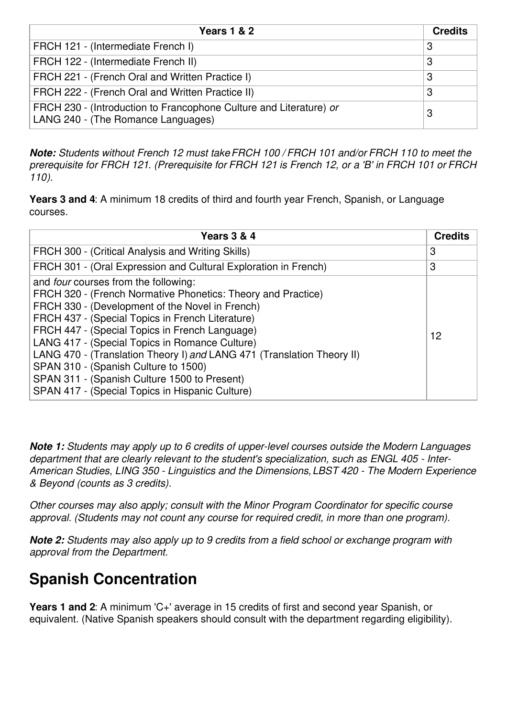| <b>Years 1 &amp; 2</b>                                                                                   | <b>Credits</b> |
|----------------------------------------------------------------------------------------------------------|----------------|
| FRCH 121 - (Intermediate French I)                                                                       | 3              |
| FRCH 122 - (Intermediate French II)                                                                      | 3              |
| FRCH 221 - (French Oral and Written Practice I)                                                          | 3              |
| FRCH 222 - (French Oral and Written Practice II)                                                         | 3              |
| FRCH 230 - (Introduction to Francophone Culture and Literature) or<br>LANG 240 - (The Romance Languages) | З              |

*Note: Students without French 12 must takeFRCH 100 / FRCH 101 and/or FRCH 110 to meet the* prerequisite for FRCH 121. (Prerequisite for FRCH 121 is French 12, or a 'B' in FRCH 101 or FRCH *110).*

**Years 3 and 4**: A minimum 18 credits of third and fourth year French, Spanish, or Language courses.

| Years 3 & 4                                                                                                                                                                                                                                                                                                                                                                                                                                                                                                                                 | <b>Credits</b> |
|---------------------------------------------------------------------------------------------------------------------------------------------------------------------------------------------------------------------------------------------------------------------------------------------------------------------------------------------------------------------------------------------------------------------------------------------------------------------------------------------------------------------------------------------|----------------|
| FRCH 300 - (Critical Analysis and Writing Skills)                                                                                                                                                                                                                                                                                                                                                                                                                                                                                           | 3              |
| FRCH 301 - (Oral Expression and Cultural Exploration in French)                                                                                                                                                                                                                                                                                                                                                                                                                                                                             | 3              |
| and <i>four</i> courses from the following:<br>FRCH 320 - (French Normative Phonetics: Theory and Practice)<br>FRCH 330 - (Development of the Novel in French)<br>FRCH 437 - (Special Topics in French Literature)<br>FRCH 447 - (Special Topics in French Language)<br>LANG 417 - (Special Topics in Romance Culture)<br>LANG 470 - (Translation Theory I) and LANG 471 (Translation Theory II)<br>SPAN 310 - (Spanish Culture to 1500)<br>SPAN 311 - (Spanish Culture 1500 to Present)<br>SPAN 417 - (Special Topics in Hispanic Culture) | 12             |

*Note 1: Students may apply up to 6 credits of upper-level courses outside the Modern Languages department that are clearly relevant to the student's specialization, such as ENGL 405 - Inter-American Studies, LING 350 - Linguistics and the Dimensions,LBST 420 - The Modern Experience & Beyond (counts as 3 credits).*

*Other courses may also apply; consult with the Minor Program Coordinator for specific course approval. (Students may not count any course for required credit, in more than one program).*

*Note 2: Students may also apply up to 9 credits from a field school or exchange program with approval from the Department.*

## **Spanish Concentration**

**Years 1 and 2**: A minimum 'C+' average in 15 credits of first and second year Spanish, or equivalent. (Native Spanish speakers should consult with the department regarding eligibility).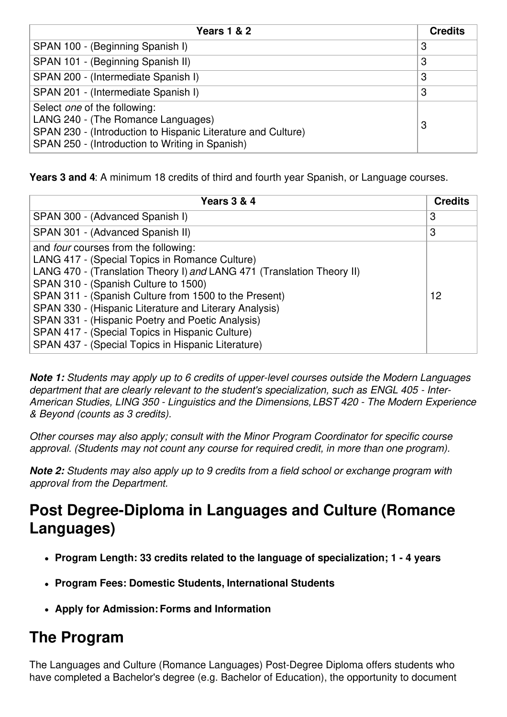| <b>Years 1 &amp; 2</b>                                                                                                                                                                | <b>Credits</b> |
|---------------------------------------------------------------------------------------------------------------------------------------------------------------------------------------|----------------|
| SPAN 100 - (Beginning Spanish I)                                                                                                                                                      | 3              |
| SPAN 101 - (Beginning Spanish II)                                                                                                                                                     | 3              |
| SPAN 200 - (Intermediate Spanish I)                                                                                                                                                   | 3              |
| SPAN 201 - (Intermediate Spanish I)                                                                                                                                                   | 3              |
| Select one of the following:<br>LANG 240 - (The Romance Languages)<br>SPAN 230 - (Introduction to Hispanic Literature and Culture)<br>SPAN 250 - (Introduction to Writing in Spanish) | З              |

**Years 3 and 4**: A minimum 18 credits of third and fourth year Spanish, or Language courses.

| Years 3 & 4                                                                                                                                                                                                                                                                                                                                                                                                                                                                                     | <b>Credits</b> |
|-------------------------------------------------------------------------------------------------------------------------------------------------------------------------------------------------------------------------------------------------------------------------------------------------------------------------------------------------------------------------------------------------------------------------------------------------------------------------------------------------|----------------|
| SPAN 300 - (Advanced Spanish I)                                                                                                                                                                                                                                                                                                                                                                                                                                                                 | 3              |
| SPAN 301 - (Advanced Spanish II)                                                                                                                                                                                                                                                                                                                                                                                                                                                                | 3              |
| and <i>four</i> courses from the following:<br>LANG 417 - (Special Topics in Romance Culture)<br>LANG 470 - (Translation Theory I) and LANG 471 (Translation Theory II)<br>SPAN 310 - (Spanish Culture to 1500)<br>SPAN 311 - (Spanish Culture from 1500 to the Present)<br>SPAN 330 - (Hispanic Literature and Literary Analysis)<br>SPAN 331 - (Hispanic Poetry and Poetic Analysis)<br>SPAN 417 - (Special Topics in Hispanic Culture)<br>SPAN 437 - (Special Topics in Hispanic Literature) | 12             |

*Note 1: Students may apply up to 6 credits of upper-level courses outside the Modern Languages department that are clearly relevant to the student's specialization, such as ENGL 405 - Inter-American Studies, LING 350 - Linguistics and the Dimensions,LBST 420 - The Modern Experience & Beyond (counts as 3 credits).*

*Other courses may also apply; consult with the Minor Program Coordinator for specific course approval. (Students may not count any course for required credit, in more than one program).*

*Note 2: Students may also apply up to 9 credits from a field school or exchange program with approval from the Department.*

### **Post Degree-Diploma in Languages and Culture (Romance Languages)**

- **Program Length: 33 credits related to the language of specialization; 1 - 4 years**
- **Program Fees: Domestic Students, International Students**
- **Apply for Admission:Forms and Information**

#### **The Program**

The Languages and Culture (Romance Languages) Post-Degree Diploma offers students who have completed a Bachelor's degree (e.g. Bachelor of Education), the opportunity to document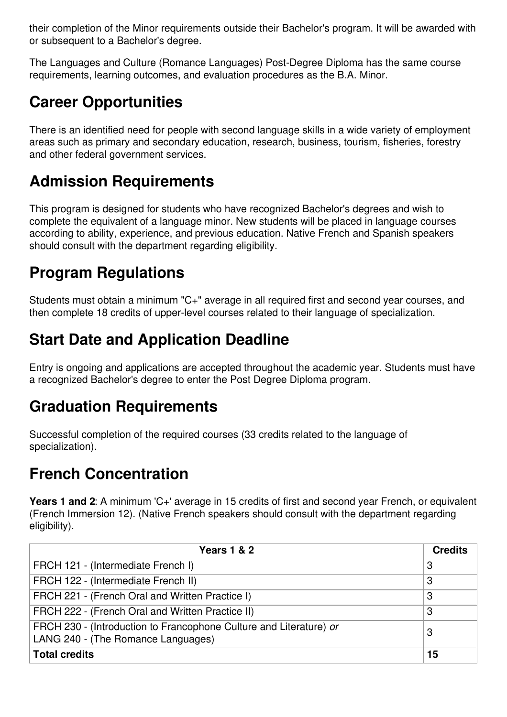their completion of the Minor requirements outside their Bachelor's program. It will be awarded with or subsequent to a Bachelor's degree.

The Languages and Culture (Romance Languages) Post-Degree Diploma has the same course requirements, learning outcomes, and evaluation procedures as the B.A. Minor.

## **Career Opportunities**

There is an identified need for people with second language skills in a wide variety of employment areas such as primary and secondary education, research, business, tourism, fisheries, forestry and other federal government services.

### **Admission Requirements**

This program is designed for students who have recognized Bachelor's degrees and wish to complete the equivalent of a language minor. New students will be placed in language courses according to ability, experience, and previous education. Native French and Spanish speakers should consult with the department regarding eligibility.

## **Program Regulations**

Students must obtain a minimum "C+" average in all required first and second year courses, and then complete 18 credits of upper-level courses related to their language of specialization.

## **Start Date and Application Deadline**

Entry is ongoing and applications are accepted throughout the academic year. Students must have a recognized Bachelor's degree to enter the Post Degree Diploma program.

## **Graduation Requirements**

Successful completion of the required courses (33 credits related to the language of specialization).

## **French Concentration**

**Years 1 and 2**: A minimum 'C+' average in 15 credits of first and second year French, or equivalent (French Immersion 12). (Native French speakers should consult with the department regarding eligibility).

| <b>Years 1 &amp; 2</b>                                                                                   | <b>Credits</b> |
|----------------------------------------------------------------------------------------------------------|----------------|
| FRCH 121 - (Intermediate French I)                                                                       | 3              |
| FRCH 122 - (Intermediate French II)                                                                      | 3              |
| FRCH 221 - (French Oral and Written Practice I)                                                          | З              |
| FRCH 222 - (French Oral and Written Practice II)                                                         | 3              |
| FRCH 230 - (Introduction to Francophone Culture and Literature) or<br>LANG 240 - (The Romance Languages) | З              |
| <b>Total credits</b>                                                                                     | 15             |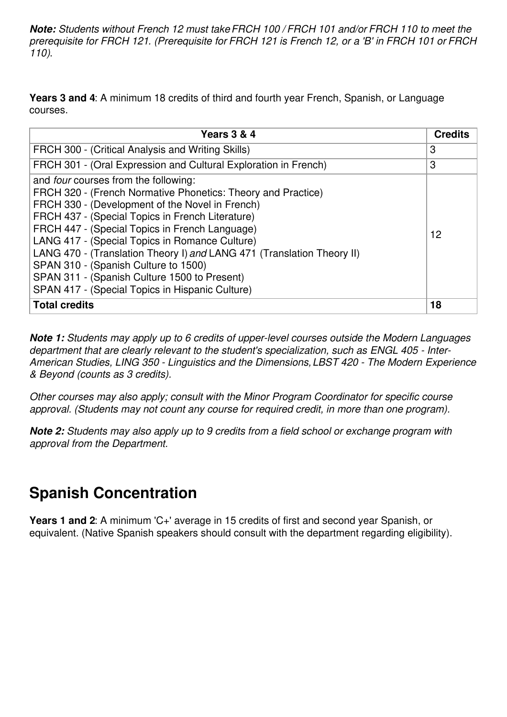*Note: Students without French 12 must takeFRCH 100 / FRCH 101 and/or FRCH 110 to meet the* prerequisite for FRCH 121. (Prerequisite for FRCH 121 is French 12, or a 'B' in FRCH 101 or FRCH *110)*.

**Years 3 and 4**: A minimum 18 credits of third and fourth year French, Spanish, or Language courses.

| <b>Years 3 &amp; 4</b>                                                                                                                                                                                                                                                                                                                                                                                                                                                                                                                      | <b>Credits</b> |
|---------------------------------------------------------------------------------------------------------------------------------------------------------------------------------------------------------------------------------------------------------------------------------------------------------------------------------------------------------------------------------------------------------------------------------------------------------------------------------------------------------------------------------------------|----------------|
| FRCH 300 - (Critical Analysis and Writing Skills)                                                                                                                                                                                                                                                                                                                                                                                                                                                                                           | 3              |
| FRCH 301 - (Oral Expression and Cultural Exploration in French)                                                                                                                                                                                                                                                                                                                                                                                                                                                                             | 3              |
| and <i>four</i> courses from the following:<br>FRCH 320 - (French Normative Phonetics: Theory and Practice)<br>FRCH 330 - (Development of the Novel in French)<br>FRCH 437 - (Special Topics in French Literature)<br>FRCH 447 - (Special Topics in French Language)<br>LANG 417 - (Special Topics in Romance Culture)<br>LANG 470 - (Translation Theory I) and LANG 471 (Translation Theory II)<br>SPAN 310 - (Spanish Culture to 1500)<br>SPAN 311 - (Spanish Culture 1500 to Present)<br>SPAN 417 - (Special Topics in Hispanic Culture) | 12             |
| <b>Total credits</b>                                                                                                                                                                                                                                                                                                                                                                                                                                                                                                                        | 18             |

*Note 1: Students may apply up to 6 credits of upper-level courses outside the Modern Languages department that are clearly relevant to the student's specialization, such as ENGL 405 - Inter-American Studies, LING 350 - Linguistics and the Dimensions,LBST 420 - The Modern Experience & Beyond (counts as 3 credits).*

*Other courses may also apply; consult with the Minor Program Coordinator for specific course approval. (Students may not count any course for required credit, in more than one program).*

*Note 2: Students may also apply up to 9 credits from a field school or exchange program with approval from the Department.*

#### **Spanish Concentration**

**Years 1 and 2**: A minimum 'C+' average in 15 credits of first and second year Spanish, or equivalent. (Native Spanish speakers should consult with the department regarding eligibility).